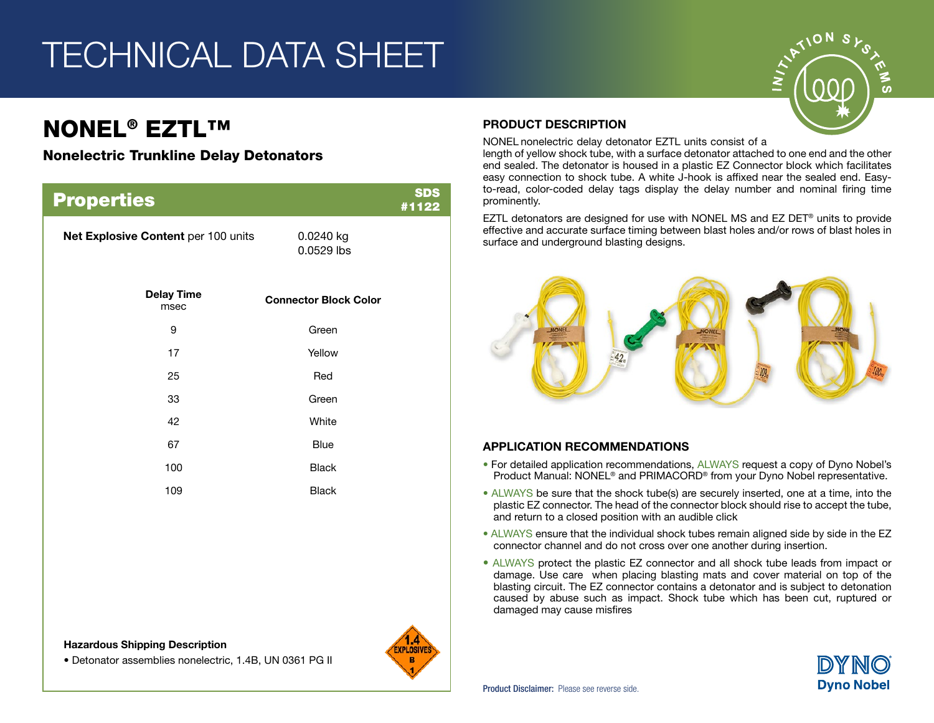## TECHNICAL DATA SHEET

### NONEL® EZTL™

#### Nonelectric Trunkline Delay Detonators

| <b>Properties</b>                   |                              | <b>SDS</b><br>#1122 |
|-------------------------------------|------------------------------|---------------------|
| Net Explosive Content per 100 units | 0.0240 kg<br>0.0529 lbs      |                     |
| <b>Delay Time</b><br>msec           | <b>Connector Block Color</b> |                     |
| 9                                   | Green                        |                     |
| 17                                  | Yellow                       |                     |
| 25                                  | Red                          |                     |
| 33                                  | Green                        |                     |
| 42                                  | White                        |                     |
| 67                                  | <b>Blue</b>                  |                     |
| 100                                 | <b>Black</b>                 |                     |
| 109                                 | <b>Black</b>                 |                     |
|                                     |                              |                     |

Hazardous Shipping Description

• Detonator assemblies nonelectric, 1.4B, UN 0361 PG II



#### PRODUCT DESCRIPTION

NONEL nonelectric delay detonator EZTL units consist of a

length of yellow shock tube, with a surface detonator attached to one end and the other end sealed. The detonator is housed in a plastic EZ Connector block which facilitates easy connection to shock tube. A white J-hook is affixed near the sealed end. Easyto-read, color-coded delay tags display the delay number and nominal firing time prominently.

EZTL detonators are designed for use with NONEL MS and EZ DET® units to provide effective and accurate surface timing between blast holes and/or rows of blast holes in surface and underground blasting designs.



#### APPLICATION RECOMMENDATIONS

- For detailed application recommendations, ALWAYS request a copy of Dyno Nobel's Product Manual: NONEL® and PRIMACORD® from your Dyno Nobel representative.
- ALWAYS be sure that the shock tube(s) are securely inserted, one at a time, into the plastic EZ connector. The head of the connector block should rise to accept the tube, and return to a closed position with an audible click
- ALWAYS ensure that the individual shock tubes remain aligned side by side in the EZ connector channel and do not cross over one another during insertion.
- ALWAYS protect the plastic EZ connector and all shock tube leads from impact or damage. Use care when placing blasting mats and cover material on top of the blasting circuit. The EZ connector contains a detonator and is subject to detonation caused by abuse such as impact. Shock tube which has been cut, ruptured or damaged may cause misfires